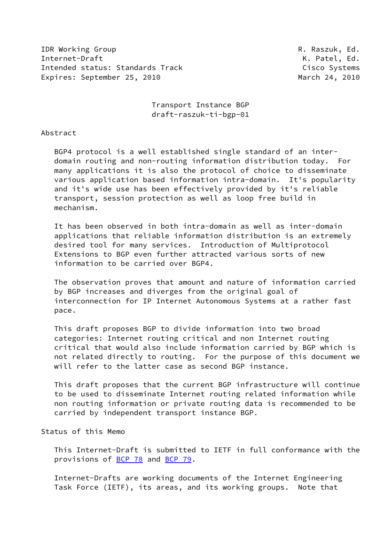IDR Working Group **R. Raszuk, Ed.** Internet-Draft K. Patel, Ed. Intended status: Standards Track Cisco Systems Expires: September 25, 2010 March 24, 2010

 Transport Instance BGP draft-raszuk-ti-bgp-01

#### Abstract

 BGP4 protocol is a well established single standard of an inter domain routing and non-routing information distribution today. For many applications it is also the protocol of choice to disseminate various application based information intra-domain. It's popularity and it's wide use has been effectively provided by it's reliable transport, session protection as well as loop free build in mechanism.

 It has been observed in both intra-domain as well as inter-domain applications that reliable information distribution is an extremely desired tool for many services. Introduction of Multiprotocol Extensions to BGP even further attracted various sorts of new information to be carried over BGP4.

 The observation proves that amount and nature of information carried by BGP increases and diverges from the original goal of interconnection for IP Internet Autonomous Systems at a rather fast pace.

 This draft proposes BGP to divide information into two broad categories: Internet routing critical and non Internet routing critical that would also include information carried by BGP which is not related directly to routing. For the purpose of this document we will refer to the latter case as second BGP instance.

 This draft proposes that the current BGP infrastructure will continue to be used to disseminate Internet routing related information while non routing information or private routing data is recommended to be carried by independent transport instance BGP.

# Status of this Memo

 This Internet-Draft is submitted to IETF in full conformance with the provisions of [BCP 78](https://datatracker.ietf.org/doc/pdf/bcp78) and [BCP 79](https://datatracker.ietf.org/doc/pdf/bcp79).

 Internet-Drafts are working documents of the Internet Engineering Task Force (IETF), its areas, and its working groups. Note that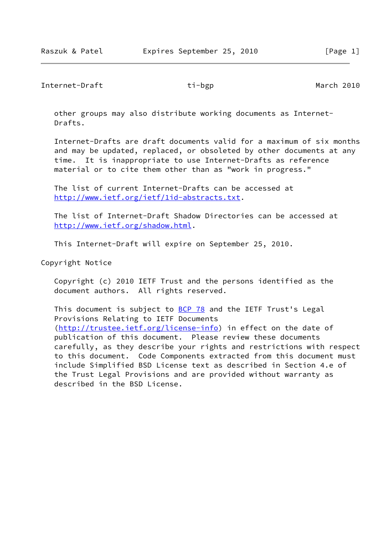Internet-Draft **ti-bgp** ti-bgp March 2010

 other groups may also distribute working documents as Internet- Drafts.

 Internet-Drafts are draft documents valid for a maximum of six months and may be updated, replaced, or obsoleted by other documents at any time. It is inappropriate to use Internet-Drafts as reference material or to cite them other than as "work in progress."

 The list of current Internet-Drafts can be accessed at <http://www.ietf.org/ietf/1id-abstracts.txt>.

 The list of Internet-Draft Shadow Directories can be accessed at <http://www.ietf.org/shadow.html>.

This Internet-Draft will expire on September 25, 2010.

Copyright Notice

 Copyright (c) 2010 IETF Trust and the persons identified as the document authors. All rights reserved.

This document is subject to **[BCP 78](https://datatracker.ietf.org/doc/pdf/bcp78)** and the IETF Trust's Legal Provisions Relating to IETF Documents [\(http://trustee.ietf.org/license-info](http://trustee.ietf.org/license-info)) in effect on the date of publication of this document. Please review these documents carefully, as they describe your rights and restrictions with respect to this document. Code Components extracted from this document must include Simplified BSD License text as described in Section 4.e of the Trust Legal Provisions and are provided without warranty as described in the BSD License.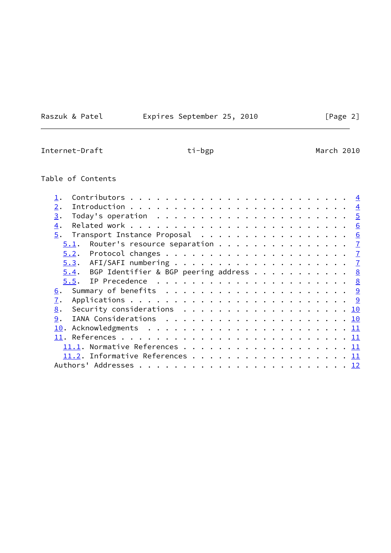the control of the control of the control of

Raszuk & Patel **Expires September 25, 2010** [Page 2]

Internet-Draft **ti-bgp** ti-bgp March 2010

# Table of Contents

| 2.                                                                                              | $\overline{4}$ |
|-------------------------------------------------------------------------------------------------|----------------|
| 3.<br>Today's operation $\dots\dots\dots\dots\dots\dots\dots\dots\frac{5}{2}$                   |                |
| 4.                                                                                              |                |
| $\underline{5}$ . Transport Instance Proposal 6                                                 |                |
| Router's resource separation $\frac{7}{2}$<br>5.1.                                              |                |
|                                                                                                 |                |
|                                                                                                 |                |
| BGP Identifier & BGP peering address $\cdots$ 8<br>5.4.                                         |                |
|                                                                                                 |                |
| Summary of benefits $\ldots \ldots \ldots \ldots \ldots \ldots \ldots \frac{9}{2}$<br>6.        |                |
| 7.                                                                                              |                |
| Security considerations $\ldots \ldots \ldots \ldots \ldots \ldots \ldots \underline{10}$<br>8. |                |
| 9.                                                                                              |                |
|                                                                                                 |                |
|                                                                                                 |                |
|                                                                                                 |                |
| 11.2. Informative References 11                                                                 |                |
|                                                                                                 |                |
|                                                                                                 |                |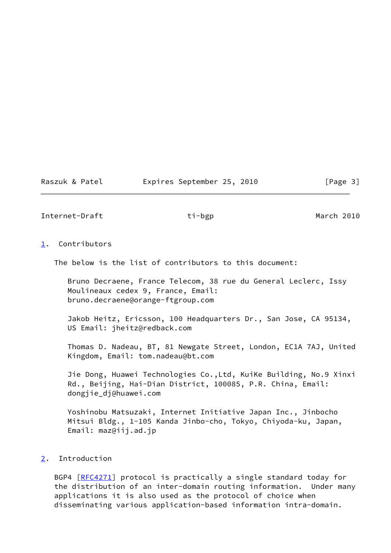#### Raszuk & Patel **Expires September 25, 2010** [Page 3]

<span id="page-3-1"></span>Internet-Draft **ti-bgp** ti-bgp March 2010

#### <span id="page-3-0"></span>[1](#page-3-0). Contributors

The below is the list of contributors to this document:

 Bruno Decraene, France Telecom, 38 rue du General Leclerc, Issy Moulineaux cedex 9, France, Email: bruno.decraene@orange-ftgroup.com

 Jakob Heitz, Ericsson, 100 Headquarters Dr., San Jose, CA 95134, US Email: jheitz@redback.com

 Thomas D. Nadeau, BT, 81 Newgate Street, London, EC1A 7AJ, United Kingdom, Email: tom.nadeau@bt.com

 Jie Dong, Huawei Technologies Co.,Ltd, KuiKe Building, No.9 Xinxi Rd., Beijing, Hai-Dian District, 100085, P.R. China, Email: dongjie\_dj@huawei.com

 Yoshinobu Matsuzaki, Internet Initiative Japan Inc., Jinbocho Mitsui Bldg., 1-105 Kanda Jinbo-cho, Tokyo, Chiyoda-ku, Japan, Email: maz@iij.ad.jp

# <span id="page-3-2"></span>[2](#page-3-2). Introduction

BGP4 [\[RFC4271](https://datatracker.ietf.org/doc/pdf/rfc4271)] protocol is practically a single standard today for the distribution of an inter-domain routing information. Under many applications it is also used as the protocol of choice when disseminating various application-based information intra-domain.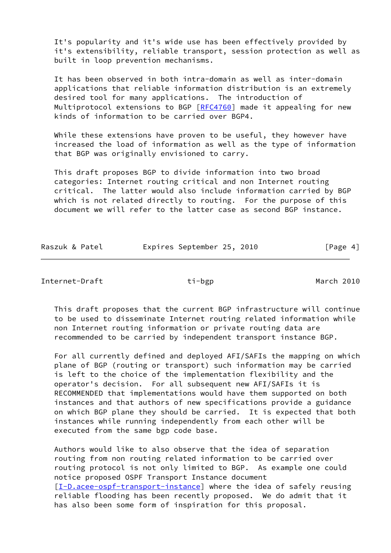It's popularity and it's wide use has been effectively provided by it's extensibility, reliable transport, session protection as well as built in loop prevention mechanisms.

 It has been observed in both intra-domain as well as inter-domain applications that reliable information distribution is an extremely desired tool for many applications. The introduction of Multiprotocol extensions to BGP [\[RFC4760](https://datatracker.ietf.org/doc/pdf/rfc4760)] made it appealing for new kinds of information to be carried over BGP4.

While these extensions have proven to be useful, they however have increased the load of information as well as the type of information that BGP was originally envisioned to carry.

 This draft proposes BGP to divide information into two broad categories: Internet routing critical and non Internet routing critical. The latter would also include information carried by BGP which is not related directly to routing. For the purpose of this document we will refer to the latter case as second BGP instance.

| Raszuk & Patel | Expires September 25, 2010 | [Page 4] |
|----------------|----------------------------|----------|
|                |                            |          |

<span id="page-4-0"></span>Internet-Draft **ti-bgp** ti-bgp March 2010

 This draft proposes that the current BGP infrastructure will continue to be used to disseminate Internet routing related information while non Internet routing information or private routing data are recommended to be carried by independent transport instance BGP.

 For all currently defined and deployed AFI/SAFIs the mapping on which plane of BGP (routing or transport) such information may be carried is left to the choice of the implementation flexibility and the operator's decision. For all subsequent new AFI/SAFIs it is RECOMMENDED that implementations would have them supported on both instances and that authors of new specifications provide a guidance on which BGP plane they should be carried. It is expected that both instances while running independently from each other will be executed from the same bgp code base.

 Authors would like to also observe that the idea of separation routing from non routing related information to be carried over routing protocol is not only limited to BGP. As example one could notice proposed OSPF Transport Instance document [\[I-D.acee-ospf-transport-instance](#page-11-5)] where the idea of safely reusing reliable flooding has been recently proposed. We do admit that it has also been some form of inspiration for this proposal.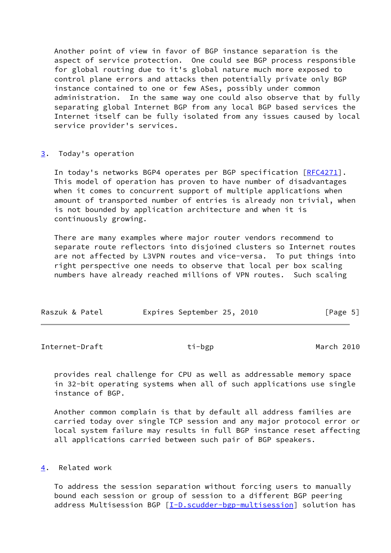Another point of view in favor of BGP instance separation is the aspect of service protection. One could see BGP process responsible for global routing due to it's global nature much more exposed to control plane errors and attacks then potentially private only BGP instance contained to one or few ASes, possibly under common administration. In the same way one could also observe that by fully separating global Internet BGP from any local BGP based services the Internet itself can be fully isolated from any issues caused by local service provider's services.

#### <span id="page-5-0"></span>[3](#page-5-0). Today's operation

In today's networks BGP4 operates per BGP specification [\[RFC4271](https://datatracker.ietf.org/doc/pdf/rfc4271)]. This model of operation has proven to have number of disadvantages when it comes to concurrent support of multiple applications when amount of transported number of entries is already non trivial, when is not bounded by application architecture and when it is continuously growing.

 There are many examples where major router vendors recommend to separate route reflectors into disjoined clusters so Internet routes are not affected by L3VPN routes and vice-versa. To put things into right perspective one needs to observe that local per box scaling numbers have already reached millions of VPN routes. Such scaling

| Raszuk & Patel | Expires September 25, 2010 |  | [Page 5] |  |
|----------------|----------------------------|--|----------|--|
|                |                            |  |          |  |

<span id="page-5-2"></span>Internet-Draft **ti-bgp** ti-bgp March 2010

 provides real challenge for CPU as well as addressable memory space in 32-bit operating systems when all of such applications use single instance of BGP.

 Another common complain is that by default all address families are carried today over single TCP session and any major protocol error or local system failure may results in full BGP instance reset affecting all applications carried between such pair of BGP speakers.

# <span id="page-5-1"></span>[4](#page-5-1). Related work

 To address the session separation without forcing users to manually bound each session or group of session to a different BGP peering address Multisession BGP [\[I-D.scudder-bgp-multisession](#page-12-1)] solution has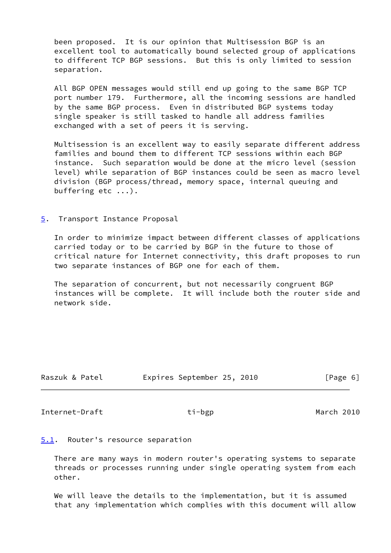been proposed. It is our opinion that Multisession BGP is an excellent tool to automatically bound selected group of applications to different TCP BGP sessions. But this is only limited to session separation.

 All BGP OPEN messages would still end up going to the same BGP TCP port number 179. Furthermore, all the incoming sessions are handled by the same BGP process. Even in distributed BGP systems today single speaker is still tasked to handle all address families exchanged with a set of peers it is serving.

 Multisession is an excellent way to easily separate different address families and bound them to different TCP sessions within each BGP instance. Such separation would be done at the micro level (session level) while separation of BGP instances could be seen as macro level division (BGP process/thread, memory space, internal queuing and buffering etc ...).

#### <span id="page-6-0"></span>[5](#page-6-0). Transport Instance Proposal

 In order to minimize impact between different classes of applications carried today or to be carried by BGP in the future to those of critical nature for Internet connectivity, this draft proposes to run two separate instances of BGP one for each of them.

 The separation of concurrent, but not necessarily congruent BGP instances will be complete. It will include both the router side and network side.

| Raszuk & Patel | Expires September 25, 2010 | [Page 6] |
|----------------|----------------------------|----------|

<span id="page-6-2"></span>Internet-Draft **ti-bgp** ti-bgp March 2010

#### <span id="page-6-1"></span>[5.1](#page-6-1). Router's resource separation

 There are many ways in modern router's operating systems to separate threads or processes running under single operating system from each other.

 We will leave the details to the implementation, but it is assumed that any implementation which complies with this document will allow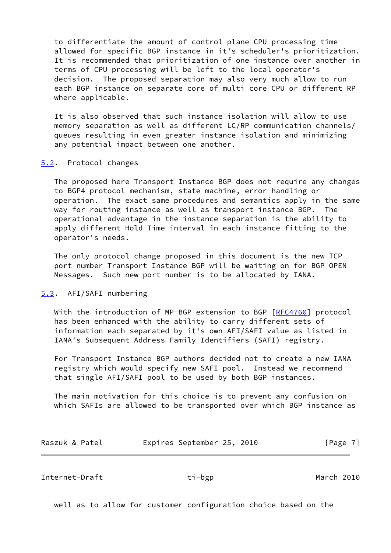to differentiate the amount of control plane CPU processing time allowed for specific BGP instance in it's scheduler's prioritization. It is recommended that prioritization of one instance over another in terms of CPU processing will be left to the local operator's decision. The proposed separation may also very much allow to run each BGP instance on separate core of multi core CPU or different RP where applicable.

 It is also observed that such instance isolation will allow to use memory separation as well as different LC/RP communication channels/ queues resulting in even greater instance isolation and minimizing any potential impact between one another.

#### <span id="page-7-0"></span>[5.2](#page-7-0). Protocol changes

 The proposed here Transport Instance BGP does not require any changes to BGP4 protocol mechanism, state machine, error handling or operation. The exact same procedures and semantics apply in the same way for routing instance as well as transport instance BGP. The operational advantage in the instance separation is the ability to apply different Hold Time interval in each instance fitting to the operator's needs.

 The only protocol change proposed in this document is the new TCP port number Transport Instance BGP will be waiting on for BGP OPEN Messages. Such new port number is to be allocated by IANA.

# <span id="page-7-1"></span>[5.3](#page-7-1). AFI/SAFI numbering

With the introduction of MP-BGP extension to BGP [\[RFC4760](https://datatracker.ietf.org/doc/pdf/rfc4760)] protocol has been enhanced with the ability to carry different sets of information each separated by it's own AFI/SAFI value as listed in IANA's Subsequent Address Family Identifiers (SAFI) registry.

 For Transport Instance BGP authors decided not to create a new IANA registry which would specify new SAFI pool. Instead we recommend that single AFI/SAFI pool to be used by both BGP instances.

 The main motivation for this choice is to prevent any confusion on which SAFIs are allowed to be transported over which BGP instance as

| Raszuk & Patel |  | Expires September 25, 2010 |  |  | [Page 7] |
|----------------|--|----------------------------|--|--|----------|
|----------------|--|----------------------------|--|--|----------|

<span id="page-7-2"></span>Internet-Draft **ti-bgp** ti-bgp March 2010

well as to allow for customer configuration choice based on the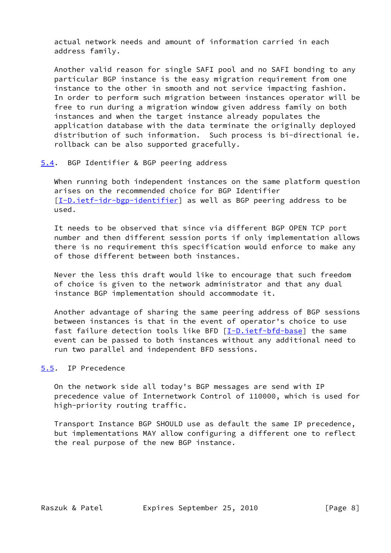actual network needs and amount of information carried in each address family.

 Another valid reason for single SAFI pool and no SAFI bonding to any particular BGP instance is the easy migration requirement from one instance to the other in smooth and not service impacting fashion. In order to perform such migration between instances operator will be free to run during a migration window given address family on both instances and when the target instance already populates the application database with the data terminate the originally deployed distribution of such information. Such process is bi-directional ie. rollback can be also supported gracefully.

#### <span id="page-8-0"></span>[5.4](#page-8-0). BGP Identifier & BGP peering address

 When running both independent instances on the same platform question arises on the recommended choice for BGP Identifier [\[I-D.ietf-idr-bgp-identifier](#page-12-2)] as well as BGP peering address to be used.

 It needs to be observed that since via different BGP OPEN TCP port number and then different session ports if only implementation allows there is no requirement this specification would enforce to make any of those different between both instances.

 Never the less this draft would like to encourage that such freedom of choice is given to the network administrator and that any dual instance BGP implementation should accommodate it.

 Another advantage of sharing the same peering address of BGP sessions between instances is that in the event of operator's choice to use fast failure detection tools like BFD [[I-D.ietf-bfd-base\]](#page-12-3) the same event can be passed to both instances without any additional need to run two parallel and independent BFD sessions.

# <span id="page-8-1"></span>[5.5](#page-8-1). IP Precedence

 On the network side all today's BGP messages are send with IP precedence value of Internetwork Control of 110000, which is used for high-priority routing traffic.

 Transport Instance BGP SHOULD use as default the same IP precedence, but implementations MAY allow configuring a different one to reflect the real purpose of the new BGP instance.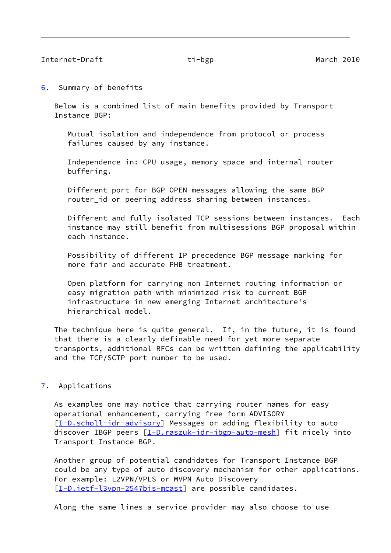<span id="page-9-1"></span><span id="page-9-0"></span>[6](#page-9-0). Summary of benefits

 Below is a combined list of main benefits provided by Transport Instance BGP:

 Mutual isolation and independence from protocol or process failures caused by any instance.

 Independence in: CPU usage, memory space and internal router buffering.

 Different port for BGP OPEN messages allowing the same BGP router\_id or peering address sharing between instances.

 Different and fully isolated TCP sessions between instances. Each instance may still benefit from multisessions BGP proposal within each instance.

 Possibility of different IP precedence BGP message marking for more fair and accurate PHB treatment.

 Open platform for carrying non Internet routing information or easy migration path with minimized risk to current BGP infrastructure in new emerging Internet architecture's hierarchical model.

 The technique here is quite general. If, in the future, it is found that there is a clearly definable need for yet more separate transports, additional RFCs can be written defining the applicability and the TCP/SCTP port number to be used.

# <span id="page-9-2"></span>[7](#page-9-2). Applications

 As examples one may notice that carrying router names for easy operational enhancement, carrying free form ADVISORY [\[I-D.scholl-idr-advisory](#page-12-4)] Messages or adding flexibility to auto discover IBGP peers [\[I-D.raszuk-idr-ibgp-auto-mesh](#page-12-5)] fit nicely into Transport Instance BGP.

 Another group of potential candidates for Transport Instance BGP could be any type of auto discovery mechanism for other applications. For example: L2VPN/VPLS or MVPN Auto Discovery [\[I-D.ietf-l3vpn-2547bis-mcast](#page-12-6)] are possible candidates.

Along the same lines a service provider may also choose to use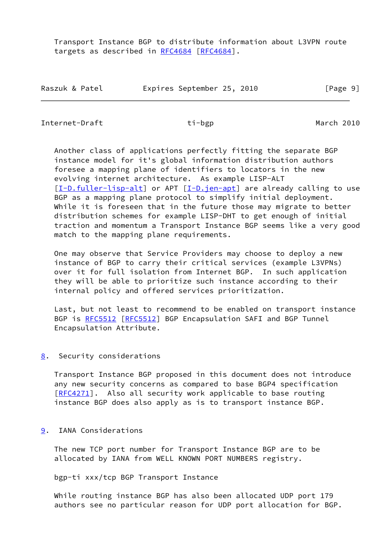Transport Instance BGP to distribute information about L3VPN route targets as described in [RFC4684](https://datatracker.ietf.org/doc/pdf/rfc4684) [\[RFC4684](https://datatracker.ietf.org/doc/pdf/rfc4684)].

| Raszuk & Patel | Expires September 25, 2010 |  | [Page 9] |
|----------------|----------------------------|--|----------|
|----------------|----------------------------|--|----------|

<span id="page-10-1"></span>Internet-Draft **ti-bgp** ti-bgp March 2010

 Another class of applications perfectly fitting the separate BGP instance model for it's global information distribution authors foresee a mapping plane of identifiers to locators in the new evolving internet architecture. As example LISP-ALT [\[I-D.fuller-lisp-alt](#page-12-7)] or APT [\[I-D.jen-apt](#page-12-8)] are already calling to use BGP as a mapping plane protocol to simplify initial deployment. While it is foreseen that in the future those may migrate to better distribution schemes for example LISP-DHT to get enough of initial traction and momentum a Transport Instance BGP seems like a very good match to the mapping plane requirements.

 One may observe that Service Providers may choose to deploy a new instance of BGP to carry their critical services (example L3VPNs) over it for full isolation from Internet BGP. In such application they will be able to prioritize such instance according to their internal policy and offered services prioritization.

 Last, but not least to recommend to be enabled on transport instance BGP is [RFC5512](https://datatracker.ietf.org/doc/pdf/rfc5512) [\[RFC5512](https://datatracker.ietf.org/doc/pdf/rfc5512)] BGP Encapsulation SAFI and BGP Tunnel Encapsulation Attribute.

<span id="page-10-0"></span>[8](#page-10-0). Security considerations

 Transport Instance BGP proposed in this document does not introduce any new security concerns as compared to base BGP4 specification [\[RFC4271](https://datatracker.ietf.org/doc/pdf/rfc4271)]. Also all security work applicable to base routing instance BGP does also apply as is to transport instance BGP.

# <span id="page-10-2"></span>[9](#page-10-2). IANA Considerations

 The new TCP port number for Transport Instance BGP are to be allocated by IANA from WELL KNOWN PORT NUMBERS registry.

bgp-ti xxx/tcp BGP Transport Instance

 While routing instance BGP has also been allocated UDP port 179 authors see no particular reason for UDP port allocation for BGP.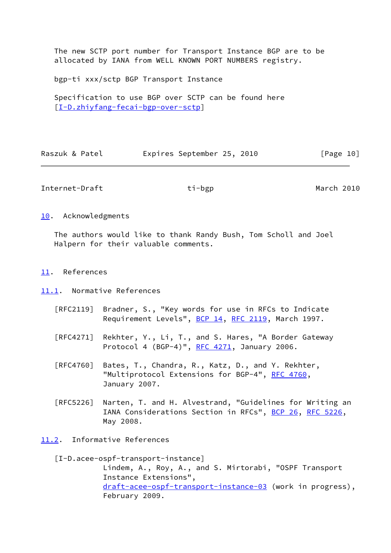The new SCTP port number for Transport Instance BGP are to be allocated by IANA from WELL KNOWN PORT NUMBERS registry.

bgp-ti xxx/sctp BGP Transport Instance

 Specification to use BGP over SCTP can be found here [\[I-D.zhiyfang-fecai-bgp-over-sctp](#page-13-0)]

| Raszuk & Patel | Expires September 25, 2010 |  | [Page 10] |  |
|----------------|----------------------------|--|-----------|--|
|                |                            |  |           |  |

<span id="page-11-1"></span>Internet-Draft **ti-bgp** ti-bgp March 2010

<span id="page-11-0"></span>[10.](#page-11-0) Acknowledgments

 The authors would like to thank Randy Bush, Tom Scholl and Joel Halpern for their valuable comments.

- <span id="page-11-2"></span>[11.](#page-11-2) References
- <span id="page-11-3"></span>[11.1](#page-11-3). Normative References
	- [RFC2119] Bradner, S., "Key words for use in RFCs to Indicate Requirement Levels", [BCP 14](https://datatracker.ietf.org/doc/pdf/bcp14), [RFC 2119](https://datatracker.ietf.org/doc/pdf/rfc2119), March 1997.
	- [RFC4271] Rekhter, Y., Li, T., and S. Hares, "A Border Gateway Protocol 4 (BGP-4)", [RFC 4271](https://datatracker.ietf.org/doc/pdf/rfc4271), January 2006.
	- [RFC4760] Bates, T., Chandra, R., Katz, D., and Y. Rekhter, "Multiprotocol Extensions for BGP-4", [RFC 4760](https://datatracker.ietf.org/doc/pdf/rfc4760), January 2007.
	- [RFC5226] Narten, T. and H. Alvestrand, "Guidelines for Writing an IANA Considerations Section in RFCs", [BCP 26](https://datatracker.ietf.org/doc/pdf/bcp26), [RFC 5226](https://datatracker.ietf.org/doc/pdf/rfc5226), May 2008.
- <span id="page-11-4"></span>[11.2](#page-11-4). Informative References

<span id="page-11-5"></span> [I-D.acee-ospf-transport-instance] Lindem, A., Roy, A., and S. Mirtorabi, "OSPF Transport Instance Extensions", [draft-acee-ospf-transport-instance-03](https://datatracker.ietf.org/doc/pdf/draft-acee-ospf-transport-instance-03) (work in progress), February 2009.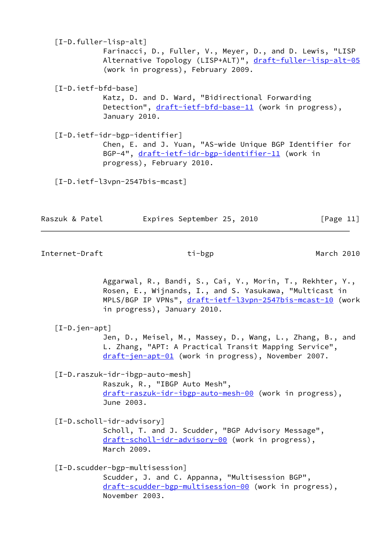<span id="page-12-7"></span><span id="page-12-3"></span> [I-D.fuller-lisp-alt] Farinacci, D., Fuller, V., Meyer, D., and D. Lewis, "LISP Alternative Topology (LISP+ALT)", [draft-fuller-lisp-alt-05](https://datatracker.ietf.org/doc/pdf/draft-fuller-lisp-alt-05) (work in progress), February 2009. [I-D.ietf-bfd-base] Katz, D. and D. Ward, "Bidirectional Forwarding Detection", [draft-ietf-bfd-base-11](https://datatracker.ietf.org/doc/pdf/draft-ietf-bfd-base-11) (work in progress), January 2010. [I-D.ietf-idr-bgp-identifier]

<span id="page-12-2"></span> Chen, E. and J. Yuan, "AS-wide Unique BGP Identifier for BGP-4", [draft-ietf-idr-bgp-identifier-11](https://datatracker.ietf.org/doc/pdf/draft-ietf-idr-bgp-identifier-11) (work in progress), February 2010.

<span id="page-12-6"></span>[I-D.ietf-l3vpn-2547bis-mcast]

| Raszuk & Patel | Expires September 25, 2010 |  | [Page 11] |
|----------------|----------------------------|--|-----------|
|                |                            |  |           |

<span id="page-12-0"></span>Internet-Draft **ti-bgp** ti-bgp March 2010

 Aggarwal, R., Bandi, S., Cai, Y., Morin, T., Rekhter, Y., Rosen, E., Wijnands, I., and S. Yasukawa, "Multicast in MPLS/BGP IP VPNs", [draft-ietf-l3vpn-2547bis-mcast-10](https://datatracker.ietf.org/doc/pdf/draft-ietf-l3vpn-2547bis-mcast-10) (work in progress), January 2010.

<span id="page-12-8"></span>[I-D.jen-apt]

 Jen, D., Meisel, M., Massey, D., Wang, L., Zhang, B., and L. Zhang, "APT: A Practical Transit Mapping Service", [draft-jen-apt-01](https://datatracker.ietf.org/doc/pdf/draft-jen-apt-01) (work in progress), November 2007.

<span id="page-12-5"></span>[I-D.raszuk-idr-ibgp-auto-mesh]

 Raszuk, R., "IBGP Auto Mesh", [draft-raszuk-idr-ibgp-auto-mesh-00](https://datatracker.ietf.org/doc/pdf/draft-raszuk-idr-ibgp-auto-mesh-00) (work in progress), June 2003.

<span id="page-12-4"></span>[I-D.scholl-idr-advisory]

 Scholl, T. and J. Scudder, "BGP Advisory Message", [draft-scholl-idr-advisory-00](https://datatracker.ietf.org/doc/pdf/draft-scholl-idr-advisory-00) (work in progress), March 2009.

<span id="page-12-1"></span>[I-D.scudder-bgp-multisession]

 Scudder, J. and C. Appanna, "Multisession BGP", [draft-scudder-bgp-multisession-00](https://datatracker.ietf.org/doc/pdf/draft-scudder-bgp-multisession-00) (work in progress), November 2003.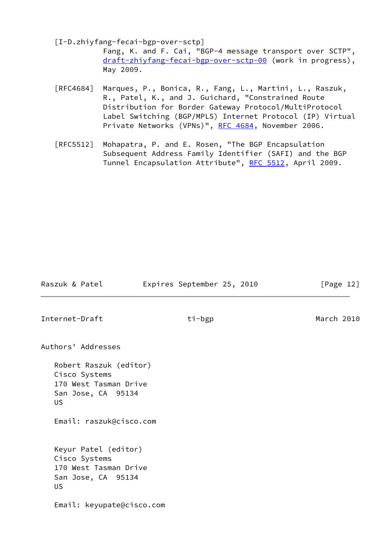<span id="page-13-0"></span>[I-D.zhiyfang-fecai-bgp-over-sctp]

 Fang, K. and F. Cai, "BGP-4 message transport over SCTP", [draft-zhiyfang-fecai-bgp-over-sctp-00](https://datatracker.ietf.org/doc/pdf/draft-zhiyfang-fecai-bgp-over-sctp-00) (work in progress), May 2009.

- [RFC4684] Marques, P., Bonica, R., Fang, L., Martini, L., Raszuk, R., Patel, K., and J. Guichard, "Constrained Route Distribution for Border Gateway Protocol/MultiProtocol Label Switching (BGP/MPLS) Internet Protocol (IP) Virtual Private Networks (VPNs)", [RFC 4684](https://datatracker.ietf.org/doc/pdf/rfc4684), November 2006.
- [RFC5512] Mohapatra, P. and E. Rosen, "The BGP Encapsulation Subsequent Address Family Identifier (SAFI) and the BGP Tunnel Encapsulation Attribute", [RFC 5512,](https://datatracker.ietf.org/doc/pdf/rfc5512) April 2009.

Raszuk & Patel **Expires September 25, 2010** [Page 12]

Internet-Draft **ti-bgp** ti-bgp March 2010

Authors' Addresses

 Robert Raszuk (editor) Cisco Systems 170 West Tasman Drive San Jose, CA 95134 US

Email: raszuk@cisco.com

 Keyur Patel (editor) Cisco Systems 170 West Tasman Drive San Jose, CA 95134 US

Email: keyupate@cisco.com